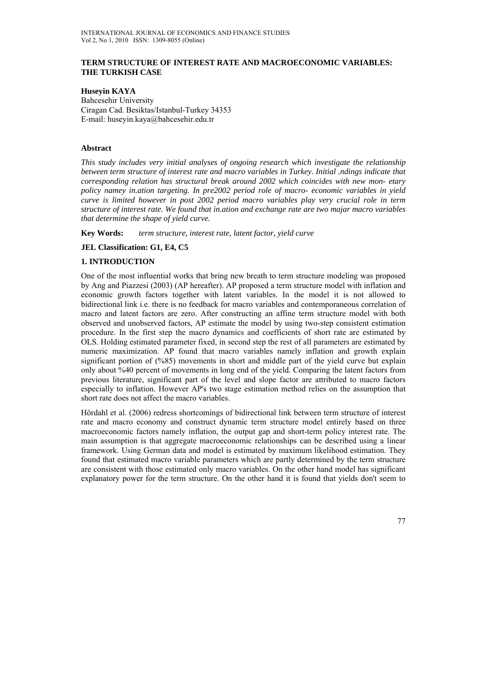### **TERM STRUCTURE OF INTEREST RATE AND MACROECONOMIC VARIABLES: THE TURKISH CASE**

**Huseyin KAYA**  Bahcesehir University Ciragan Cad. Besiktas/Istanbul-Turkey 34353 E-mail: huseyin.kaya@bahcesehir.edu.tr

### **Abstract**

*This study includes very initial analyses of ongoing research which investigate the relationship between term structure of interest rate and macro variables in Turkey. Initial .ndings indicate that corresponding relation has structural break around 2002 which coincides with new mon- etary policy namey in.ation targeting. In pre2002 period role of macro- economic variables in yield curve is limited however in post 2002 period macro variables play very crucial role in term structure of interest rate. We found that in.ation and exchange rate are two majar macro variables that determine the shape of yield curve.* 

**Key Words:** *term structure, interest rate, latent factor, yield curve* 

### **JEL Classification: G1, E4, C5**

# **1. INTRODUCTION**

One of the most influential works that bring new breath to term structure modeling was proposed by Ang and Piazzesi (2003) (AP hereafter). AP proposed a term structure model with inflation and economic growth factors together with latent variables. In the model it is not allowed to bidirectional link i.e. there is no feedback for macro variables and contemporaneous correlation of macro and latent factors are zero. After constructing an affine term structure model with both observed and unobserved factors, AP estimate the model by using two-step consistent estimation procedure. In the first step the macro dynamics and coefficients of short rate are estimated by OLS. Holding estimated parameter fixed, in second step the rest of all parameters are estimated by numeric maximization. AP found that macro variables namely inflation and growth explain significant portion of (%85) movements in short and middle part of the yield curve but explain only about %40 percent of movements in long end of the yield. Comparing the latent factors from previous literature, significant part of the level and slope factor are attributed to macro factors especially to inflation. However AP's two stage estimation method relies on the assumption that short rate does not affect the macro variables.

Hördahl et al. (2006) redress shortcomings of bidirectional link between term structure of interest rate and macro economy and construct dynamic term structure model entirely based on three macroeconomic factors namely inflation, the output gap and short-term policy interest rate. The main assumption is that aggregate macroeconomic relationships can be described using a linear framework. Using German data and model is estimated by maximum likelihood estimation. They found that estimated macro variable parameters which are partly determined by the term structure are consistent with those estimated only macro variables. On the other hand model has significant explanatory power for the term structure. On the other hand it is found that yields don't seem to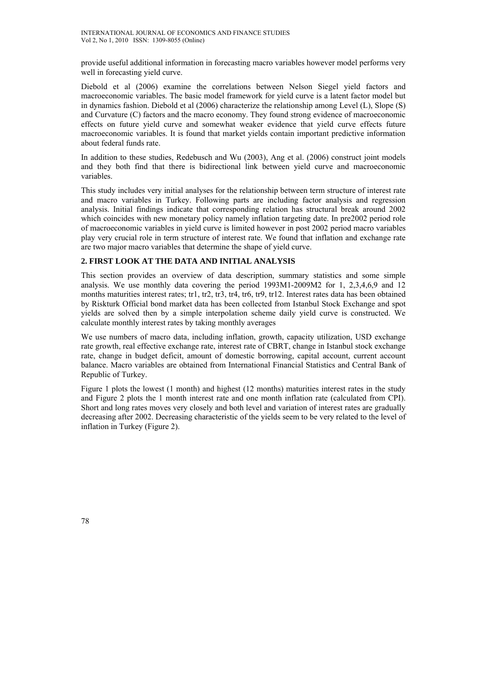provide useful additional information in forecasting macro variables however model performs very well in forecasting yield curve.

Diebold et al (2006) examine the correlations between Nelson Siegel yield factors and macroeconomic variables. The basic model framework for yield curve is a latent factor model but in dynamics fashion. Diebold et al (2006) characterize the relationship among Level (L), Slope (S) and Curvature (C) factors and the macro economy. They found strong evidence of macroeconomic effects on future yield curve and somewhat weaker evidence that yield curve effects future macroeconomic variables. It is found that market yields contain important predictive information about federal funds rate.

In addition to these studies, Redebusch and Wu (2003), Ang et al. (2006) construct joint models and they both find that there is bidirectional link between yield curve and macroeconomic variables.

This study includes very initial analyses for the relationship between term structure of interest rate and macro variables in Turkey. Following parts are including factor analysis and regression analysis. Initial findings indicate that corresponding relation has structural break around 2002 which coincides with new monetary policy namely inflation targeting date. In pre2002 period role of macroeconomic variables in yield curve is limited however in post 2002 period macro variables play very crucial role in term structure of interest rate. We found that inflation and exchange rate are two major macro variables that determine the shape of yield curve.

# **2. FIRST LOOK AT THE DATA AND INITIAL ANALYSIS**

This section provides an overview of data description, summary statistics and some simple analysis. We use monthly data covering the period 1993M1-2009M2 for 1, 2,3,4,6,9 and 12 months maturities interest rates; tr1, tr2, tr3, tr4, tr6, tr9, tr12. Interest rates data has been obtained by Riskturk Official bond market data has been collected from Istanbul Stock Exchange and spot yields are solved then by a simple interpolation scheme daily yield curve is constructed. We calculate monthly interest rates by taking monthly averages

We use numbers of macro data, including inflation, growth, capacity utilization, USD exchange rate growth, real effective exchange rate, interest rate of CBRT, change in Istanbul stock exchange rate, change in budget deficit, amount of domestic borrowing, capital account, current account balance. Macro variables are obtained from International Financial Statistics and Central Bank of Republic of Turkey.

Figure 1 plots the lowest (1 month) and highest (12 months) maturities interest rates in the study and Figure 2 plots the 1 month interest rate and one month inflation rate (calculated from CPI). Short and long rates moves very closely and both level and variation of interest rates are gradually decreasing after 2002. Decreasing characteristic of the yields seem to be very related to the level of inflation in Turkey (Figure 2).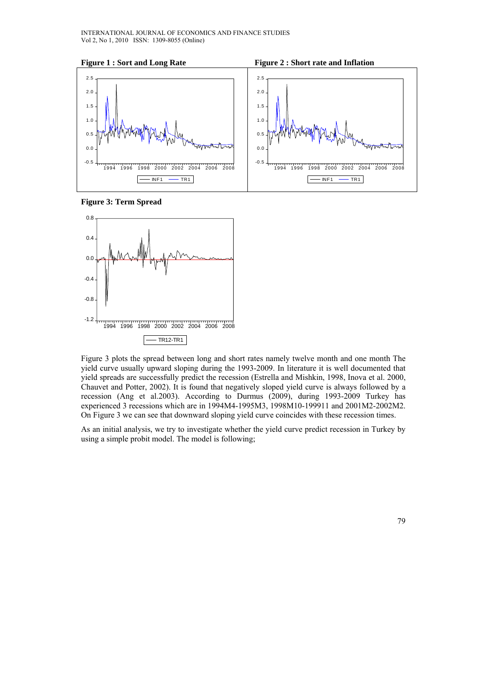





Figure 3 plots the spread between long and short rates namely twelve month and one month The yield curve usually upward sloping during the 1993-2009. In literature it is well documented that yield spreads are successfully predict the recession (Estrella and Mishkin, 1998, Inova et al. 2000, Chauvet and Potter, 2002). It is found that negatively sloped yield curve is always followed by a recession (Ang et al.2003). According to Durmus (2009), during 1993-2009 Turkey has experienced 3 recessions which are in 1994M4-1995M3, 1998M10-199911 and 2001M2-2002M2. On Figure 3 we can see that downward sloping yield curve coincides with these recession times.

As an initial analysis, we try to investigate whether the yield curve predict recession in Turkey by using a simple probit model. The model is following;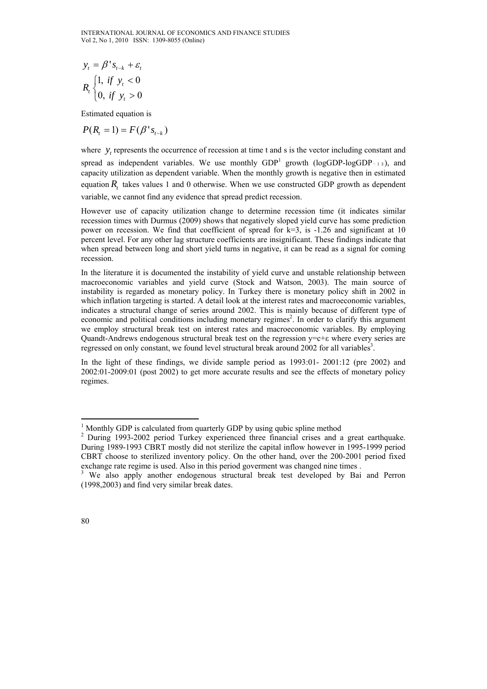$$
y_{t} = \beta' s_{t-k} + \varepsilon_{t}
$$
  

$$
R_{t} \begin{cases} 1, & \text{if } y_{t} < 0 \\ 0, & \text{if } y_{t} > 0 \end{cases}
$$

Estimated equation is

$$
P(R_t = 1) = F(\beta' s_{t-k})
$$

where *y*, represents the occurrence of recession at time t and s is the vector including constant and spread as independent variables. We use monthly  $GDP<sup>1</sup>$  growth (logGDP-logGDP-12), and capacity utilization as dependent variable. When the monthly growth is negative then in estimated equation *R*, takes values 1 and 0 otherwise. When we use constructed GDP growth as dependent variable, we cannot find any evidence that spread predict recession.

However use of capacity utilization change to determine recession time (it indicates similar recession times with Durmus (2009) shows that negatively sloped yield curve has some prediction power on recession. We find that coefficient of spread for k=3, is -1.26 and significant at 10 percent level. For any other lag structure coefficients are insignificant. These findings indicate that when spread between long and short yield turns in negative, it can be read as a signal for coming recession.

In the literature it is documented the instability of yield curve and unstable relationship between macroeconomic variables and yield curve (Stock and Watson, 2003). The main source of instability is regarded as monetary policy. In Turkey there is monetary policy shift in 2002 in which inflation targeting is started. A detail look at the interest rates and macroeconomic variables, indicates a structural change of series around 2002. This is mainly because of different type of economic and political conditions including monetary regimes<sup>2</sup>. In order to clarify this argument we employ structural break test on interest rates and macroeconomic variables. By employing Quandt-Andrews endogenous structural break test on the regression  $y=c+\epsilon$  where every series are regressed on only constant, we found level structural break around 2002 for all variables<sup>3</sup>.

In the light of these findings, we divide sample period as 1993:01- 2001:12 (pre 2002) and 2002:01-2009:01 (post 2002) to get more accurate results and see the effects of monetary policy regimes.

<sup>&</sup>lt;sup>1</sup> Monthly GDP is calculated from quarterly GDP by using qubic spline method

<sup>&</sup>lt;sup>2</sup> During 1993-2002 period Turkey experienced three financial crises and a great earthquake. During 1989-1993 CBRT mostly did not sterilize the capital inflow however in 1995-1999 period CBRT choose to sterilized inventory policy. On the other hand, over the 200-2001 period fixed exchange rate regime is used. Also in this period government was changed nine times.<br><sup>3</sup> We also apply apother andegenous structural broak test douglaned by Bei

We also apply another endogenous structural break test developed by Bai and Perron (1998,2003) and find very similar break dates.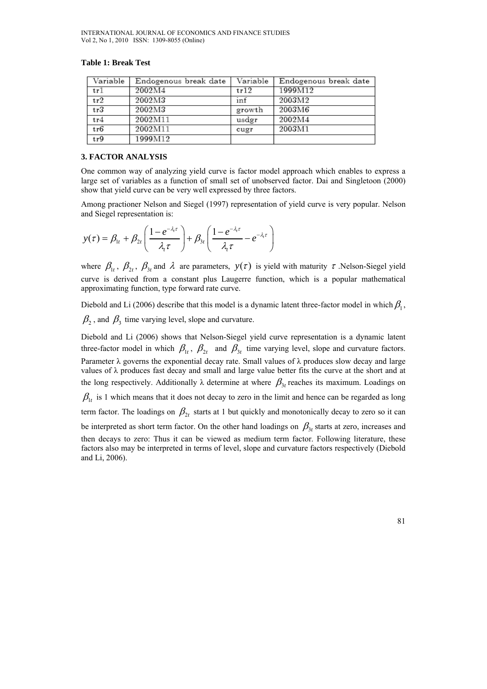| Variable | Endogenous break date | Variable | Endogenous break date |
|----------|-----------------------|----------|-----------------------|
| tr1      | 2002M4                | tr12     | 1999M12               |
| tr2      | 2002M3                | inf      | 2003M2                |
| tr3      | 2002M3                | growth   | 2003M6                |
| tr4      | 2002M11               | usdgr    | 2002M4                |
| tr6      | 2002M11               | cugr     | 2003M1                |
| tr9      | 1999M12               |          |                       |

#### **Table 1: Break Test**

### **3. FACTOR ANALYSIS**

One common way of analyzing yield curve is factor model approach which enables to express a large set of variables as a function of small set of unobserved factor. Dai and Singletoon (2000) show that yield curve can be very well expressed by three factors.

Among practioner Nelson and Siegel (1997) representation of yield curve is very popular. Nelson and Siegel representation is:

$$
y(\tau) = \beta_{1t} + \beta_{2t} \left( \frac{1 - e^{-\lambda_{1}\tau}}{\lambda_{1}\tau} \right) + \beta_{3t} \left( \frac{1 - e^{-\lambda_{1}\tau}}{\lambda_{1}\tau} - e^{-\lambda_{1}\tau} \right)
$$

where  $\beta_1$ ,  $\beta_2$ ,  $\beta_3$  and  $\lambda$  are parameters,  $y(\tau)$  is yield with maturity  $\tau$ . Nelson-Siegel yield curve is derived from a constant plus Laugerre function, which is a popular mathematical approximating function, type forward rate curve.

Diebold and Li (2006) describe that this model is a dynamic latent three-factor model in which  $\beta_1$ ,  $\beta_2$ , and  $\beta_3$  time varying level, slope and curvature.

Diebold and Li (2006) shows that Nelson-Siegel yield curve representation is a dynamic latent three-factor model in which  $\beta_{1t}$ ,  $\beta_{2t}$  and  $\beta_{3t}$  time varying level, slope and curvature factors. Parameter  $\lambda$  governs the exponential decay rate. Small values of  $\lambda$  produces slow decay and large values of λ produces fast decay and small and large value better fits the curve at the short and at the long respectively. Additionally  $\lambda$  determine at where  $\beta_{3t}$  reaches its maximum. Loadings on  $\beta_{1t}$  is 1 which means that it does not decay to zero in the limit and hence can be regarded as long term factor. The loadings on  $\beta_{2t}$  starts at 1 but quickly and monotonically decay to zero so it can be interpreted as short term factor. On the other hand loadings on  $\beta_{3}$  starts at zero, increases and then decays to zero: Thus it can be viewed as medium term factor. Following literature, these factors also may be interpreted in terms of level, slope and curvature factors respectively (Diebold and Li, 2006).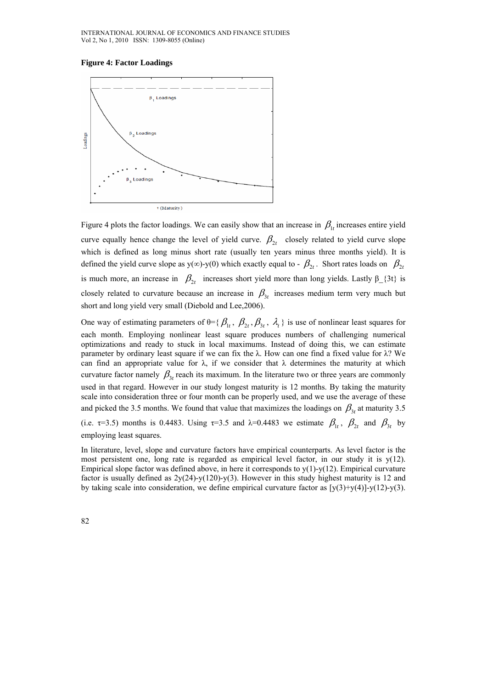#### **Figure 4: Factor Loadings**



Figure 4 plots the factor loadings. We can easily show that an increase in  $\beta_{1}$  increases entire yield curve equally hence change the level of yield curve.  $\beta_{2t}$  closely related to yield curve slope which is defined as long minus short rate (usually ten years minus three months yield). It is defined the yield curve slope as y( $\infty$ )-y(0) which exactly equal to -  $\beta_{2t}$ . Short rates loads on  $\beta_{2t}$ is much more, an increase in  $\beta_{2t}$  increases short yield more than long yields. Lastly  $\beta_{1}$ {3t} is closely related to curvature because an increase in  $\beta_{3t}$  increases medium term very much but short and long yield very small (Diebold and Lee,2006).

One way of estimating parameters of  $\theta = {\beta_1, \beta_2, \beta_3, \lambda_1}$  is use of nonlinear least squares for each month. Employing nonlinear least square produces numbers of challenging numerical optimizations and ready to stuck in local maximums. Instead of doing this, we can estimate parameter by ordinary least square if we can fix the  $\lambda$ . How can one find a fixed value for  $\lambda$ ? We can find an appropriate value for  $\lambda$ , if we consider that  $\lambda$  determines the maturity at which curvature factor namely  $\beta_{3t}$  reach its maximum. In the literature two or three years are commonly used in that regard. However in our study longest maturity is 12 months. By taking the maturity scale into consideration three or four month can be properly used, and we use the average of these and picked the 3.5 months. We found that value that maximizes the loadings on  $\beta_{3}$  at maturity 3.5 (i.e.  $\tau$ =3.5) months is 0.4483. Using  $\tau$ =3.5 and  $\lambda$ =0.4483 we estimate  $\beta_{1t}$ ,  $\beta_{2t}$  and  $\beta_{3t}$  by employing least squares.

In literature, level, slope and curvature factors have empirical counterparts. As level factor is the most persistent one, long rate is regarded as empirical level factor, in our study it is  $y(12)$ . Empirical slope factor was defined above, in here it corresponds to  $y(1)-y(12)$ . Empirical curvature factor is usually defined as  $2y(24)-y(120)-y(3)$ . However in this study highest maturity is 12 and by taking scale into consideration, we define empirical curvature factor as  $[y(3)+y(4)]-y(12)-y(3)$ .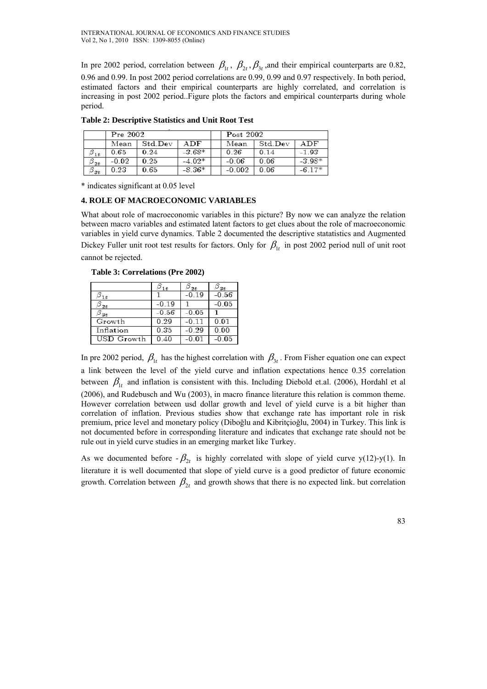In pre 2002 period, correlation between  $\beta_{1t}$ ,  $\beta_{2t}$ ,  $\beta_{3t}$ , and their empirical counterparts are 0.82, 0.96 and 0.99. In post 2002 period correlations are 0.99, 0.99 and 0.97 respectively. In both period, estimated factors and their empirical counterparts are highly correlated, and correlation is increasing in post 2002 period..Figure plots the factors and empirical counterparts during whole period.

|                               | Pre 2002 |         |          | Post 2002 |         |          |
|-------------------------------|----------|---------|----------|-----------|---------|----------|
|                               | Mean     | Std Dev | ADF      | Mean      | Std Dev | ADF      |
| $\beta_{1t}$                  | 0.65     | 0.24    | $-3.68*$ | 0.26      | 0.14    | $-1.93$  |
| $\scriptstyle{{\cal B}_{2t}}$ | $-0.02$  | 0.25    | $-4.02*$ | $-0.06$   | 0.06    | $-3.98*$ |
| $\beta_{3t}$                  | 0.23     | 0.65    | $-8.36*$ | $-0.002$  | 0.06    | $-6.17*$ |

**Table 2: Descriptive Statistics and Unit Root Test** 

\* indicates significant at 0.05 level

# **4. ROLE OF MACROECONOMIC VARIABLES**

What about role of macroeconomic variables in this picture? By now we can analyze the relation between macro variables and estimated latent factors to get clues about the role of macroeconomic variables in yield curve dynamics. Table 2 documented the descriptive statatistics and Augmented Dickey Fuller unit root test results for factors. Only for  $\beta_{1t}$  in post 2002 period null of unit root cannot be rejected.

 **Table 3: Correlations (Pre 2002)** 

|                 |         | $-0.19$ | $-0.56$ |
|-----------------|---------|---------|---------|
| $\mathcal{I}t$  | $-0.19$ |         | $-0.05$ |
| <sup>)</sup> st | $-0.56$ | $-0.05$ |         |
| Growth          | 0.29    | $-0.11$ | 0.01    |
| Inflation       | 0.35    | $-0.29$ | 0.00    |
| USD Growth      | 0.40    |         | $-0.05$ |

In pre 2002 period,  $\beta_{1t}$  has the highest correlation with  $\beta_{3t}$ . From Fisher equation one can expect a link between the level of the yield curve and inflation expectations hence 0.35 correlation between  $\beta_{1t}$  and inflation is consistent with this. Including Diebold et.al. (2006), Hordahl et al (2006), and Rudebusch and Wu (2003), in macro finance literature this relation is common theme. However correlation between usd dollar growth and level of yield curve is a bit higher than correlation of inflation. Previous studies show that exchange rate has important role in risk premium, price level and monetary policy (Diboğlu and Kibritçioğlu, 2004) in Turkey. This link is not documented before in corresponding literature and indicates that exchange rate should not be rule out in yield curve studies in an emerging market like Turkey.

As we documented before  $-\beta_{2t}$  is highly correlated with slope of yield curve y(12)-y(1). In literature it is well documented that slope of yield curve is a good predictor of future economic growth. Correlation between  $\beta_{2t}$  and growth shows that there is no expected link. but correlation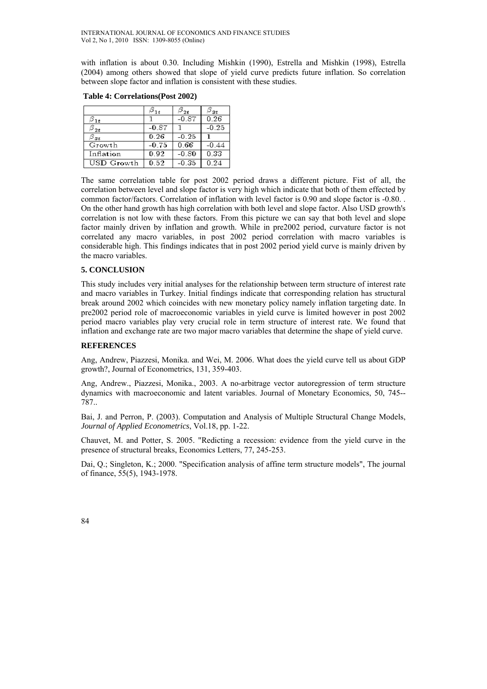with inflation is about 0.30. Including Mishkin (1990), Estrella and Mishkin (1998), Estrella (2004) among others showed that slope of yield curve predicts future inflation. So correlation between slope factor and inflation is consistent with these studies.

|              |         |         | $\scriptstyle{{\cal B}_{\scriptstyle{\text{3t}}}}$ |
|--------------|---------|---------|----------------------------------------------------|
|              |         | $-0.87$ | 0.26                                               |
|              | $-0.87$ |         | $-0.25$                                            |
| $\beta_{3t}$ | 0.26    | $-0.25$ |                                                    |
| Growth       | $-0.75$ | 0.66    | $-0.44$                                            |
| Inflation    | 0.92    | $-0.80$ | 0.33                                               |
| USD Growth   | 0.52    | -0.35   | 0 24                                               |

#### **Table 4: Correlations(Post 2002)**

The same correlation table for post 2002 period draws a different picture. Fist of all, the correlation between level and slope factor is very high which indicate that both of them effected by common factor/factors. Correlation of inflation with level factor is 0.90 and slope factor is -0.80. . On the other hand growth has high correlation with both level and slope factor. Also USD growth's correlation is not low with these factors. From this picture we can say that both level and slope factor mainly driven by inflation and growth. While in pre2002 period, curvature factor is not correlated any macro variables, in post 2002 period correlation with macro variables is considerable high. This findings indicates that in post 2002 period yield curve is mainly driven by the macro variables.

# **5. CONCLUSION**

This study includes very initial analyses for the relationship between term structure of interest rate and macro variables in Turkey. Initial findings indicate that corresponding relation has structural break around 2002 which coincides with new monetary policy namely inflation targeting date. In pre2002 period role of macroeconomic variables in yield curve is limited however in post 2002 period macro variables play very crucial role in term structure of interest rate. We found that inflation and exchange rate are two major macro variables that determine the shape of yield curve.

# **REFERENCES**

Ang, Andrew, Piazzesi, Monika. and Wei, M. 2006. What does the yield curve tell us about GDP growth?, Journal of Econometrics, 131, 359-403.

Ang, Andrew., Piazzesi, Monika., 2003. A no-arbitrage vector autoregression of term structure dynamics with macroeconomic and latent variables. Journal of Monetary Economics, 50, 745-- 787..

Bai, J. and Perron, P. (2003). Computation and Analysis of Multiple Structural Change Models, *Journal of Applied Econometrics*, Vol.18, pp. 1-22.

Chauvet, M. and Potter, S. 2005. "Redicting a recession: evidence from the yield curve in the presence of structural breaks, Economics Letters, 77, 245-253.

Dai, Q.; Singleton, K.; 2000. "Specification analysis of affine term structure models", The journal of finance, 55(5), 1943-1978.